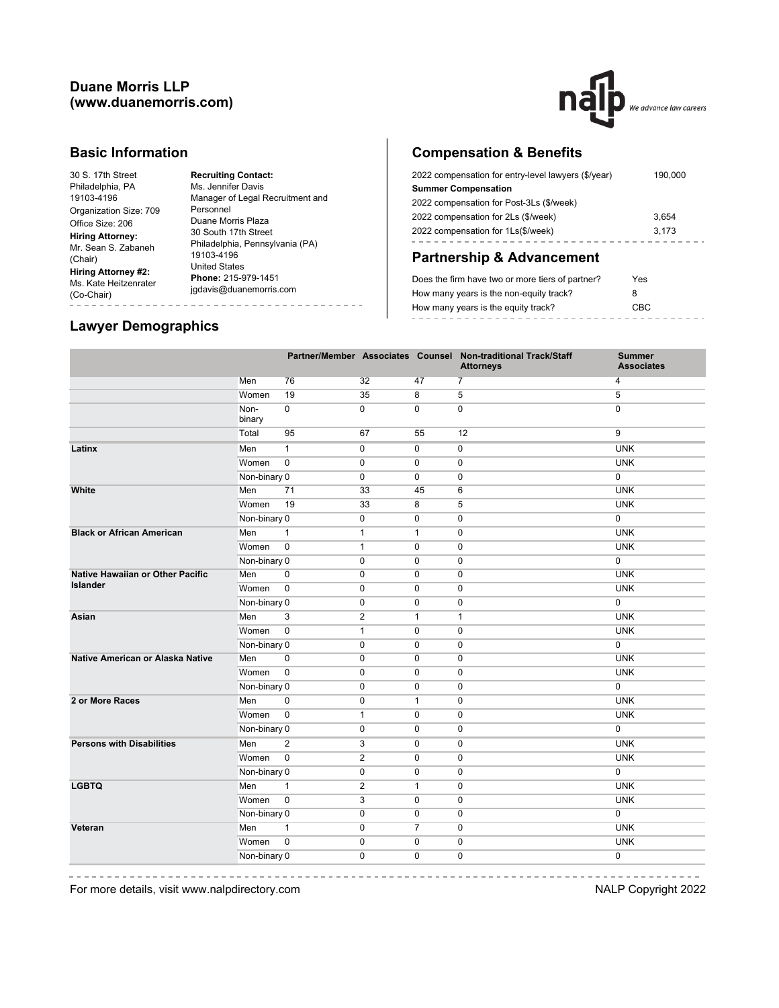

#### **Basic Information**

30 S. 17th Street Philadelphia, PA 19103-4196 Organization Size: 709 Office Size: 206 **Hiring Attorney:**

**Hiring Attorney #2:**

(Chair)

Mr. Sean S. Zabaneh Philadelphia, Pennsylvania (PA) Ms. Kate Heitzenrater **Phone:** 215-979-1451 (Co-Chair) **Recruiting Contact:** Ms. Jennifer Davis Manager of Legal Recruitment and Personnel Duane Morris Plaza Duane money<br>30 South 17th Street 19103-4196 United States jgdavis@duanemorris.com

# **Compensation & Benefits**

| 2022 compensation for entry-level lawyers (\$/year) | 190.000 |
|-----------------------------------------------------|---------|
| <b>Summer Compensation</b>                          |         |
| 2022 compensation for Post-3Ls (\$/week)            |         |
| 2022 compensation for 2Ls (\$/week)                 | 3.654   |
| 2022 compensation for 1Ls(\$/week)                  | 3.173   |
|                                                     |         |

## **Partnership & Advancement**

| Does the firm have two or more tiers of partner? | Yes  |
|--------------------------------------------------|------|
| How many years is the non-equity track?          | 8    |
| How many years is the equity track?              | CBC. |
|                                                  |      |

## **Lawyer Demographics**

|                                         |                |                |                |                | Partner/Member Associates Counsel Non-traditional Track/Staff<br><b>Attorneys</b> | <b>Summer</b><br><b>Associates</b> |
|-----------------------------------------|----------------|----------------|----------------|----------------|-----------------------------------------------------------------------------------|------------------------------------|
|                                         | Men            | 76             | 32             | 47             | $\overline{7}$                                                                    | 4                                  |
|                                         | Women          | 19             | 35             | 8              | 5                                                                                 | 5                                  |
|                                         | Non-<br>binary | $\mathbf 0$    | $\mathbf 0$    | $\mathbf 0$    | $\mathbf 0$                                                                       | $\mathbf 0$                        |
|                                         | Total          | 95             | 67             | 55             | 12                                                                                | 9                                  |
| Latinx                                  | Men            | $\mathbf{1}$   | 0              | $\mathbf 0$    | $\mathbf 0$                                                                       | <b>UNK</b>                         |
|                                         | Women          | $\pmb{0}$      | $\mathbf 0$    | $\mathbf 0$    | 0                                                                                 | <b>UNK</b>                         |
|                                         | Non-binary 0   |                | $\mathbf 0$    | $\mathbf 0$    | 0                                                                                 | 0                                  |
| White                                   | Men            | 71             | 33             | 45             | 6                                                                                 | <b>UNK</b>                         |
|                                         | Women          | 19             | 33             | 8              | 5                                                                                 | <b>UNK</b>                         |
|                                         | Non-binary 0   |                | $\pmb{0}$      | $\mathbf 0$    | 0                                                                                 | $\overline{0}$                     |
| <b>Black or African American</b>        | Men            | $\mathbf{1}$   | $\mathbf{1}$   | $\mathbf{1}$   | 0                                                                                 | <b>UNK</b>                         |
|                                         | Women          | $\mathbf 0$    | $\mathbf{1}$   | $\mathbf 0$    | $\mathbf 0$                                                                       | <b>UNK</b>                         |
|                                         | Non-binary 0   |                | $\mathbf 0$    | $\mathbf 0$    | 0                                                                                 | $\overline{0}$                     |
| <b>Native Hawaiian or Other Pacific</b> | Men            | $\mathbf 0$    | $\pmb{0}$      | $\mathbf 0$    | $\pmb{0}$                                                                         | <b>UNK</b>                         |
| <b>Islander</b>                         | Women          | $\mathbf 0$    | $\mathbf 0$    | $\Omega$       | $\mathbf 0$                                                                       | <b>UNK</b>                         |
|                                         | Non-binary 0   |                | $\mathbf 0$    | $\mathbf 0$    | 0                                                                                 | 0                                  |
| Asian                                   | Men            | 3              | $\overline{2}$ | $\mathbf{1}$   | $\mathbf{1}$                                                                      | <b>UNK</b>                         |
|                                         | Women          | $\mathbf 0$    | $\mathbf{1}$   | $\Omega$       | $\mathbf 0$                                                                       | <b>UNK</b>                         |
|                                         | Non-binary 0   |                | $\mathbf 0$    | $\mathbf 0$    | 0                                                                                 | 0                                  |
| Native American or Alaska Native        | Men            | 0              | $\pmb{0}$      | $\mathbf 0$    | $\pmb{0}$                                                                         | <b>UNK</b>                         |
|                                         | Women          | $\mathbf 0$    | $\mathbf 0$    | $\mathbf 0$    | 0                                                                                 | <b>UNK</b>                         |
|                                         | Non-binary 0   |                | $\mathbf 0$    | $\mathbf 0$    | 0                                                                                 | 0                                  |
| 2 or More Races                         | Men            | 0              | $\pmb{0}$      | $\mathbf{1}$   | 0                                                                                 | <b>UNK</b>                         |
|                                         | Women          | $\mathbf 0$    | $\mathbf{1}$   | $\mathbf 0$    | 0                                                                                 | <b>UNK</b>                         |
|                                         | Non-binary 0   |                | $\mathbf 0$    | $\mathbf 0$    | $\mathbf 0$                                                                       | 0                                  |
| <b>Persons with Disabilities</b>        | Men            | $\overline{2}$ | 3              | 0              | 0                                                                                 | <b>UNK</b>                         |
|                                         | Women          | $\mathbf 0$    | $\sqrt{2}$     | $\mathbf 0$    | 0                                                                                 | <b>UNK</b>                         |
|                                         | Non-binary 0   |                | $\mathbf 0$    | $\mathbf 0$    | $\mathbf 0$                                                                       | $\mathbf 0$                        |
| <b>LGBTQ</b>                            | Men            | $\mathbf{1}$   | $\overline{2}$ | $\mathbf{1}$   | 0                                                                                 | <b>UNK</b>                         |
|                                         | Women          | $\mathbf 0$    | 3              | $\mathbf 0$    | 0                                                                                 | <b>UNK</b>                         |
|                                         | Non-binary 0   |                | $\mathbf 0$    | $\mathbf 0$    | $\mathbf 0$                                                                       | $\mathbf 0$                        |
| Veteran                                 | Men            | $\mathbf{1}$   | $\mathbf 0$    | $\overline{7}$ | 0                                                                                 | <b>UNK</b>                         |
|                                         | Women          | $\mathbf 0$    | $\mathbf 0$    | $\mathbf 0$    | 0                                                                                 | <b>UNK</b>                         |
|                                         | Non-binary 0   |                | $\mathbf{0}$   | $\Omega$       | $\mathbf 0$                                                                       | $\mathbf 0$                        |
|                                         |                |                |                |                |                                                                                   |                                    |

For more details, visit www.nalpdirectory.com NALP Copyright 2022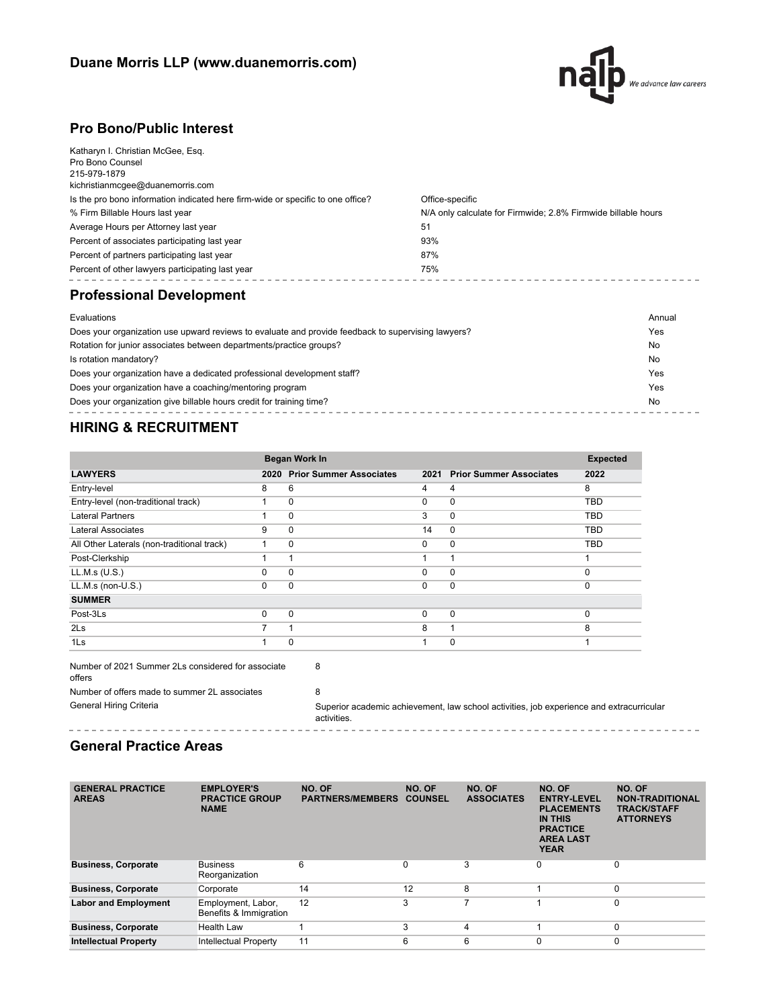

# **Pro Bono/Public Interest**

| Average Hours per Attorney last year<br>Percent of associates participating last year<br>Percent of partners participating last year<br>Percent of other lawyers participating last year     | 51<br>93%<br>87%<br>75%                                       |
|----------------------------------------------------------------------------------------------------------------------------------------------------------------------------------------------|---------------------------------------------------------------|
| % Firm Billable Hours last year                                                                                                                                                              | N/A only calculate for Firmwide; 2.8% Firmwide billable hours |
| Katharyn I. Christian McGee, Esq.<br>Pro Bono Counsel<br>215-979-1879<br>kichristianmcgee@duanemorris.com<br>Is the pro bono information indicated here firm-wide or specific to one office? | Office-specific                                               |

## **Professional Development**

| Evaluations                                                                                        | Annual |
|----------------------------------------------------------------------------------------------------|--------|
| Does your organization use upward reviews to evaluate and provide feedback to supervising lawyers? | Yes    |
| Rotation for junior associates between departments/practice groups?                                | No     |
| Is rotation mandatory?                                                                             | No     |
| Does your organization have a dedicated professional development staff?                            | Yes    |
| Does your organization have a coaching/mentoring program                                           | Yes    |
| Does your organization give billable hours credit for training time?                               | No     |
|                                                                                                    |        |

# **HIRING & RECRUITMENT**

| <b>Began Work In</b>                       |          |                                |          |                                | <b>Expected</b> |
|--------------------------------------------|----------|--------------------------------|----------|--------------------------------|-----------------|
| <b>LAWYERS</b>                             | 2020     | <b>Prior Summer Associates</b> | 2021     | <b>Prior Summer Associates</b> | 2022            |
| Entry-level                                | 8        | 6                              | 4        | 4                              | 8               |
| Entry-level (non-traditional track)        |          | 0                              | $\Omega$ | $\mathbf 0$                    | <b>TBD</b>      |
| <b>Lateral Partners</b>                    |          | $\Omega$                       | 3        | $\mathbf 0$                    | <b>TBD</b>      |
| Lateral Associates                         | 9        | $\Omega$                       | 14       | $\mathbf 0$                    | TBD             |
| All Other Laterals (non-traditional track) |          | $\Omega$                       | $\Omega$ | $\Omega$                       | <b>TBD</b>      |
| Post-Clerkship                             |          |                                |          | 1                              |                 |
| LL.M.s (U.S.)                              | 0        | 0                              | $\Omega$ | 0                              | $\Omega$        |
| LL.M.s (non-U.S.)                          | $\Omega$ | $\Omega$                       | $\Omega$ | 0                              | $\Omega$        |
| <b>SUMMER</b>                              |          |                                |          |                                |                 |
| Post-3Ls                                   | $\Omega$ | $\Omega$                       | $\Omega$ | 0                              | $\Omega$        |
| 2 <sub>ls</sub>                            | 7        |                                | 8        | 1                              | 8               |
| 1 <sub>ls</sub>                            |          | $\Omega$                       |          | $\Omega$                       |                 |

| Number of 2021 Summer 2Ls considered for associate<br>offers |                                  |
|--------------------------------------------------------------|----------------------------------|
| Number of offers made to summer 2L associates                |                                  |
| General Hiring Criteria                                      | Superior academic achievement, I |

law school activities, job experience and extracurricular activities.<br>- - - - - - - - - - - - - - - - - - ------------------------------

## **General Practice Areas**

----------------------------

| <b>GENERAL PRACTICE</b><br><b>AREAS</b> | <b>EMPLOYER'S</b><br><b>PRACTICE GROUP</b><br><b>NAME</b> | NO. OF<br><b>PARTNERS/MEMBERS</b> | NO. OF<br><b>COUNSEL</b> | NO. OF<br><b>ASSOCIATES</b> | NO. OF<br><b>ENTRY-LEVEL</b><br><b>PLACEMENTS</b><br><b>IN THIS</b><br><b>PRACTICE</b><br><b>AREA LAST</b><br><b>YEAR</b> | NO. OF<br><b>NON-TRADITIONAL</b><br><b>TRACK/STAFF</b><br><b>ATTORNEYS</b> |
|-----------------------------------------|-----------------------------------------------------------|-----------------------------------|--------------------------|-----------------------------|---------------------------------------------------------------------------------------------------------------------------|----------------------------------------------------------------------------|
| <b>Business, Corporate</b>              | <b>Business</b><br>Reorganization                         | 6                                 | $\Omega$                 | 3                           | 0                                                                                                                         | 0                                                                          |
| <b>Business, Corporate</b>              | Corporate                                                 | 14                                | 12                       | 8                           |                                                                                                                           | 0                                                                          |
| <b>Labor and Employment</b>             | Employment, Labor,<br>Benefits & Immigration              | 12                                | 3                        |                             |                                                                                                                           | 0                                                                          |
| <b>Business, Corporate</b>              | Health Law                                                |                                   | 3                        | 4                           |                                                                                                                           | 0                                                                          |
| <b>Intellectual Property</b>            | <b>Intellectual Property</b>                              | 11                                | 6                        | 6                           | $\Omega$                                                                                                                  | $\mathbf 0$                                                                |